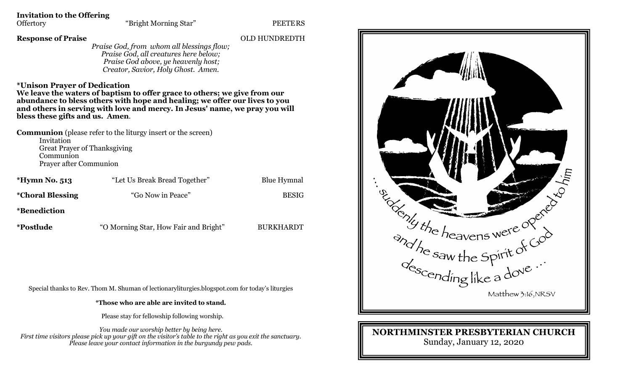**Invitation to the Offering**

#### **Response of Praise** OLD HUNDREDTH

*Praise God, from whom all blessings flow; Praise God, all creatures here below; Praise God above, ye heavenly host; Creator, Savior, Holy Ghost. Amen.*

#### **\*Unison Prayer of Dedication**

**We leave the waters of baptism to offer grace to others; we give from our abundance to bless others with hope and healing; we offer our lives to you and others in serving with love and mercy. In Jesus' name, we pray you will bless these gifts and us. Amen**.

**Communion** (please refer to the liturgy insert or the screen) Invitation Great Prayer of Thanksgiving Communion Prayer after Communion

| *Hymn No. 513                  | "Let Us Break Bread Together"         | <b>Blue Hymnal</b> |
|--------------------------------|---------------------------------------|--------------------|
| <i><b>*Choral Blessing</b></i> | "Go Now in Peace"                     | <b>BESIG</b>       |
| <i>*Benediction</i>            |                                       |                    |
| <i>*Postlude</i>               | "O Morning Star, How Fair and Bright" | <b>BURKHARDT</b>   |

Special thanks to Rev. Thom M. Shuman of lectionaryliturgies.blogspot.com for today's liturgies

**\*Those who are able are invited to stand.**

Please stay for fellowship following worship.

*You made our worship better by being here. First time visitors please pick up your gift on the visitor's table to the right as you exit the sanctuary. Please leave your contact information in the burgundy pew pads.*



### **NORTHMINSTER PRESBYTERIAN CHURCH** Sunday, January 12, 2020